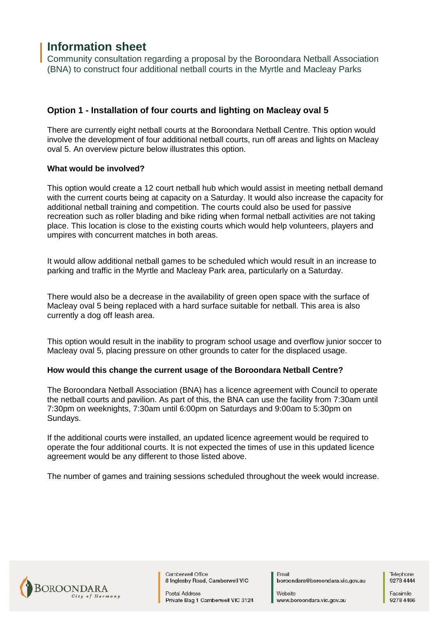# **Information sheet**

Community consultation regarding a proposal by the Boroondara Netball Association (BNA) to construct four additional netball courts in the Myrtle and Macleay Parks

# **Option 1 - Installation of four courts and lighting on Macleay oval 5**

There are currently eight netball courts at the Boroondara Netball Centre. This option would involve the development of four additional netball courts, run off areas and lights on Macleay oval 5. An overview picture below illustrates this option.

#### **What would be involved?**

This option would create a 12 court netball hub which would assist in meeting netball demand with the current courts being at capacity on a Saturday. It would also increase the capacity for additional netball training and competition. The courts could also be used for passive recreation such as roller blading and bike riding when formal netball activities are not taking place. This location is close to the existing courts which would help volunteers, players and umpires with concurrent matches in both areas.

It would allow additional netball games to be scheduled which would result in an increase to parking and traffic in the Myrtle and Macleay Park area, particularly on a Saturday.

There would also be a decrease in the availability of green open space with the surface of Macleay oval 5 being replaced with a hard surface suitable for netball. This area is also currently a dog off leash area.

This option would result in the inability to program school usage and overflow junior soccer to Macleay oval 5, placing pressure on other grounds to cater for the displaced usage.

## **How would this change the current usage of the Boroondara Netball Centre?**

The Boroondara Netball Association (BNA) has a licence agreement with Council to operate the netball courts and pavilion. As part of this, the BNA can use the facility from 7:30am until 7:30pm on weeknights, 7:30am until 6:00pm on Saturdays and 9:00am to 5:30pm on Sundays.

If the additional courts were installed, an updated licence agreement would be required to operate the four additional courts. It is not expected the times of use in this updated licence agreement would be any different to those listed above.

The number of games and training sessions scheduled throughout the week would increase.



Camberwell Office 8 Inglesby Road, Camberwell VIC

Postal Address Private Bag 1 Camberwell VIC 3124

Email boroondara@boroondara.vic.gov.au

Website www.boroondara.vic.gov.au

Telephone 92784444

Facsimile 9278 4466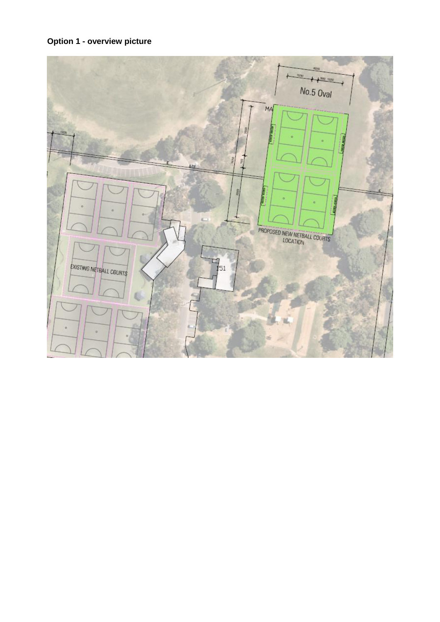# **Option 1 - overview picture**

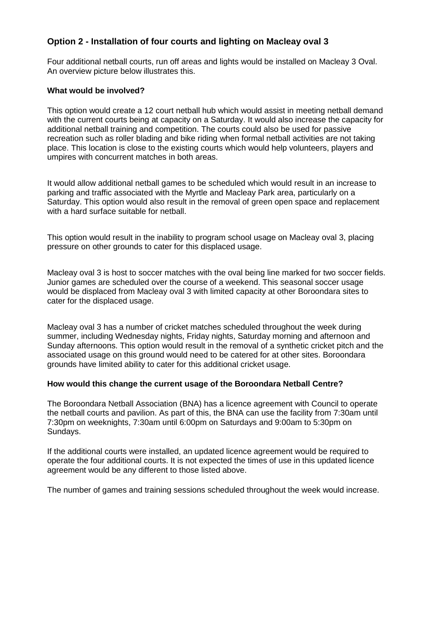# **Option 2 - Installation of four courts and lighting on Macleay oval 3**

Four additional netball courts, run off areas and lights would be installed on Macleay 3 Oval. An overview picture below illustrates this.

## **What would be involved?**

This option would create a 12 court netball hub which would assist in meeting netball demand with the current courts being at capacity on a Saturday. It would also increase the capacity for additional netball training and competition. The courts could also be used for passive recreation such as roller blading and bike riding when formal netball activities are not taking place. This location is close to the existing courts which would help volunteers, players and umpires with concurrent matches in both areas.

It would allow additional netball games to be scheduled which would result in an increase to parking and traffic associated with the Myrtle and Macleay Park area, particularly on a Saturday. This option would also result in the removal of green open space and replacement with a hard surface suitable for netball.

This option would result in the inability to program school usage on Macleay oval 3, placing pressure on other grounds to cater for this displaced usage.

Macleay oval 3 is host to soccer matches with the oval being line marked for two soccer fields. Junior games are scheduled over the course of a weekend. This seasonal soccer usage would be displaced from Macleay oval 3 with limited capacity at other Boroondara sites to cater for the displaced usage.

Macleay oval 3 has a number of cricket matches scheduled throughout the week during summer, including Wednesday nights, Friday nights, Saturday morning and afternoon and Sunday afternoons. This option would result in the removal of a synthetic cricket pitch and the associated usage on this ground would need to be catered for at other sites. Boroondara grounds have limited ability to cater for this additional cricket usage.

## **How would this change the current usage of the Boroondara Netball Centre?**

The Boroondara Netball Association (BNA) has a licence agreement with Council to operate the netball courts and pavilion. As part of this, the BNA can use the facility from 7:30am until 7:30pm on weeknights, 7:30am until 6:00pm on Saturdays and 9:00am to 5:30pm on Sundays.

If the additional courts were installed, an updated licence agreement would be required to operate the four additional courts. It is not expected the times of use in this updated licence agreement would be any different to those listed above.

The number of games and training sessions scheduled throughout the week would increase.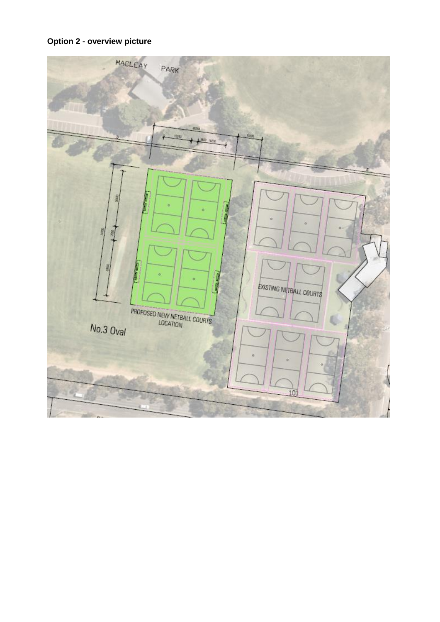

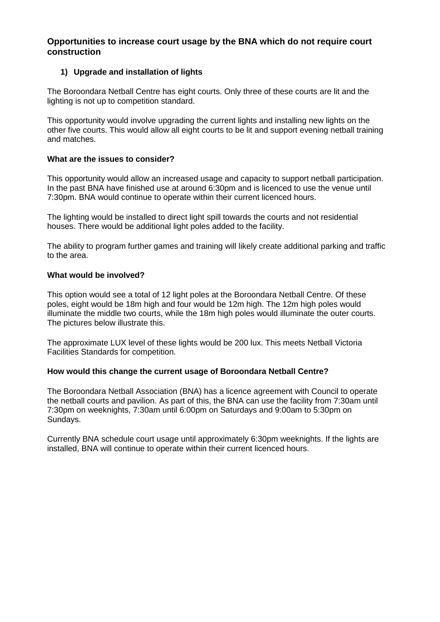# **Opportunities to increase court usage by the BNA which do not require court construction**

# **1) Upgrade and installation of lights**

The Boroondara Netball Centre has eight courts. Only three of these courts are lit and the lighting is not up to competition standard.

This opportunity would involve upgrading the current lights and installing new lights on the other five courts. This would allow all eight courts to be lit and support evening netball training and matches.

## **What are the issues to consider?**

This opportunity would allow an increased usage and capacity to support netball participation. In the past BNA have finished use at around 6:30pm and is licenced to use the venue until 7:30pm. BNA would continue to operate within their current licenced hours.

The lighting would be installed to direct light spill towards the courts and not residential houses. There would be additional light poles added to the facility.

The ability to program further games and training will likely create additional parking and traffic to the area.

## **What would be involved?**

This option would see a total of 12 light poles at the Boroondara Netball Centre. Of these poles, eight would be 18m high and four would be 12m high. The 12m high poles would illuminate the middle two courts, while the 18m high poles would illuminate the outer courts. The pictures below illustrate this.

The approximate LUX level of these lights would be 200 lux. This meets Netball Victoria Facilities Standards for competition.

## **How would this change the current usage of Boroondara Netball Centre?**

The Boroondara Netball Association (BNA) has a licence agreement with Council to operate the netball courts and pavilion. As part of this, the BNA can use the facility from 7:30am until 7:30pm on weeknights, 7:30am until 6:00pm on Saturdays and 9:00am to 5:30pm on Sundays.

Currently BNA schedule court usage until approximately 6:30pm weeknights. If the lights are installed, BNA will continue to operate within their current licenced hours.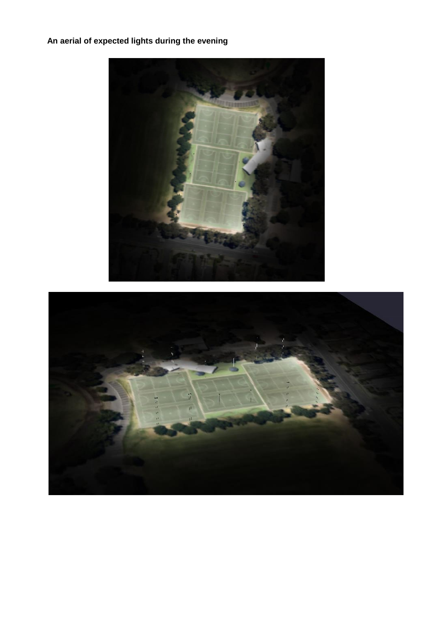# **An aerial of expected lights during the evening**